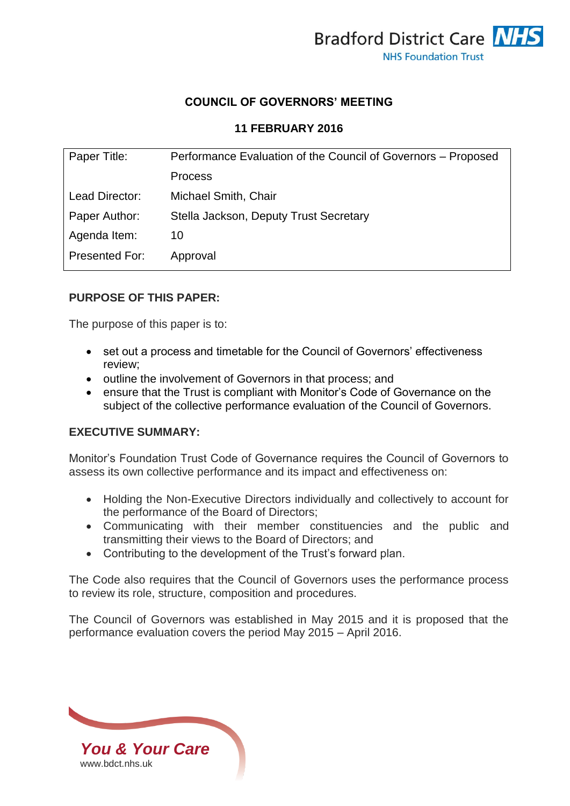

### **COUNCIL OF GOVERNORS' MEETING**

#### **11 FEBRUARY 2016**

| Paper Title:   | Performance Evaluation of the Council of Governors - Proposed |  |
|----------------|---------------------------------------------------------------|--|
|                | <b>Process</b>                                                |  |
| Lead Director: | Michael Smith, Chair                                          |  |
| Paper Author:  | Stella Jackson, Deputy Trust Secretary                        |  |
| Agenda Item:   | 10                                                            |  |
| Presented For: | Approval                                                      |  |

## **PURPOSE OF THIS PAPER:**

The purpose of this paper is to:

- set out a process and timetable for the Council of Governors' effectiveness review;
- outline the involvement of Governors in that process; and
- ensure that the Trust is compliant with Monitor's Code of Governance on the subject of the collective performance evaluation of the Council of Governors.

#### **EXECUTIVE SUMMARY:**

Monitor's Foundation Trust Code of Governance requires the Council of Governors to assess its own collective performance and its impact and effectiveness on:

- Holding the Non-Executive Directors individually and collectively to account for the performance of the Board of Directors;
- Communicating with their member constituencies and the public and transmitting their views to the Board of Directors; and
- Contributing to the development of the Trust's forward plan.

The Code also requires that the Council of Governors uses the performance process to review its role, structure, composition and procedures.

The Council of Governors was established in May 2015 and it is proposed that the performance evaluation covers the period May 2015 – April 2016.

*You & Your Care* [www.bdct.nhs.uk](http://www.bdct.nhs.uk/)